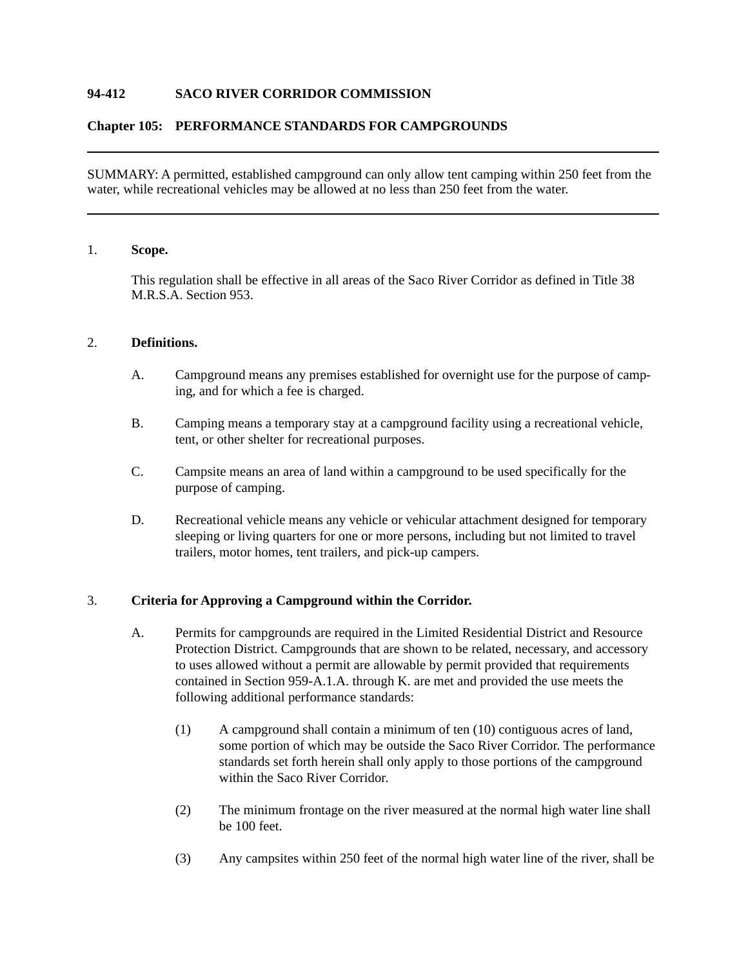# **94-412 SACO RIVER CORRIDOR COMMISSION**

## **Chapter 105: PERFORMANCE STANDARDS FOR CAMPGROUNDS**

SUMMARY: A permitted, established campground can only allow tent camping within 250 feet from the water, while recreational vehicles may be allowed at no less than 250 feet from the water.

## 1. **Scope.**

This regulation shall be effective in all areas of the Saco River Corridor as defined in Title 38 M.R.S.A. Section 953.

## 2. **Definitions.**

- A. Campground means any premises established for overnight use for the purpose of camping, and for which a fee is charged.
- B. Camping means a temporary stay at a campground facility using a recreational vehicle, tent, or other shelter for recreational purposes.
- C. Campsite means an area of land within a campground to be used specifically for the purpose of camping.
- D. Recreational vehicle means any vehicle or vehicular attachment designed for temporary sleeping or living quarters for one or more persons, including but not limited to travel trailers, motor homes, tent trailers, and pick-up campers.

### 3. **Criteria for Approving a Campground within the Corridor.**

- A. Permits for campgrounds are required in the Limited Residential District and Resource Protection District. Campgrounds that are shown to be related, necessary, and accessory to uses allowed without a permit are allowable by permit provided that requirements contained in Section 959-A.1.A. through K. are met and provided the use meets the following additional performance standards:
	- (1) A campground shall contain a minimum of ten (10) contiguous acres of land, some portion of which may be outside the Saco River Corridor. The performance standards set forth herein shall only apply to those portions of the campground within the Saco River Corridor.
	- (2) The minimum frontage on the river measured at the normal high water line shall be 100 feet.
	- (3) Any campsites within 250 feet of the normal high water line of the river, shall be